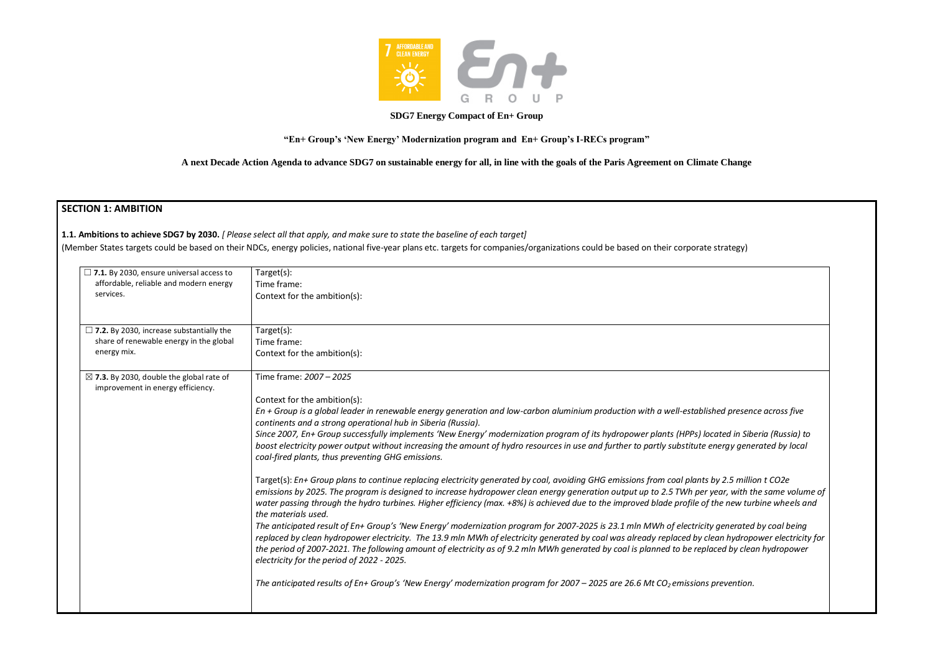

## **SDG7 Energy Compact of En+ Group**

**"En+ Group's 'New Energy' Modernization program and En+ Group's I-RECs program"**

**1.1. Ambitions to achieve SDG7 by 2030.** *[ Please select all that apply, and make sure to state the baseline of each target]*  (Member States targets could be based on their NDCs, energy policies, national five-year plans etc. targets for companies/organizations could be based on their corporat

**A next Decade Action Agenda to advance SDG7 on sustainable energy for all, in line with the goals of the Paris Agreement on Climate Change**

# **SECTION 1: AMBITION**

| $\Box$ 7.1. By 2030, ensure universal access to<br>affordable, reliable and modern energy<br>services.    | Target(s):<br>Time frame:<br>Context for the ambition(s):                                                                                                                                                                                                                                                                                                                                                                                                                                             |
|-----------------------------------------------------------------------------------------------------------|-------------------------------------------------------------------------------------------------------------------------------------------------------------------------------------------------------------------------------------------------------------------------------------------------------------------------------------------------------------------------------------------------------------------------------------------------------------------------------------------------------|
| $\Box$ 7.2. By 2030, increase substantially the<br>share of renewable energy in the global<br>energy mix. | Target(s):<br>Time frame:<br>Context for the ambition(s):                                                                                                                                                                                                                                                                                                                                                                                                                                             |
| $\boxtimes$ 7.3. By 2030, double the global rate of<br>improvement in energy efficiency.                  | Time frame: 2007 - 2025                                                                                                                                                                                                                                                                                                                                                                                                                                                                               |
|                                                                                                           | Context for the ambition(s):                                                                                                                                                                                                                                                                                                                                                                                                                                                                          |
|                                                                                                           | En + Group is a global leader in renewable energy generation and low-carbon aluminium production with a well-established presence across five<br>continents and a strong operational hub in Siberia (Russia).                                                                                                                                                                                                                                                                                         |
|                                                                                                           | Since 2007, En+ Group successfully implements 'New Energy' modernization program of its hydropower plants (HPPs) located in Siberia (Russia) to<br>boost electricity power output without increasing the amount of hydro resources in use and further to partly substitute energy generated by local<br>coal-fired plants, thus preventing GHG emissions.                                                                                                                                             |
|                                                                                                           | Target(s): En+ Group plans to continue replacing electricity generated by coal, avoiding GHG emissions from coal plants by 2.5 million t CO2e<br>emissions by 2025. The program is designed to increase hydropower clean energy generation output up to 2.5 TWh per year, with the same volume of<br>water passing through the hydro turbines. Higher efficiency (max. +8%) is achieved due to the improved blade profile of the new turbine wheels and<br>the materials used.                        |
|                                                                                                           | The anticipated result of En+ Group's 'New Energy' modernization program for 2007-2025 is 23.1 mln MWh of electricity generated by coal being<br>replaced by clean hydropower electricity. The 13.9 mln MWh of electricity generated by coal was already replaced by clean hydropower electricity for<br>the period of 2007-2021. The following amount of electricity as of 9.2 mln MWh generated by coal is planned to be replaced by clean hydropower<br>electricity for the period of 2022 - 2025. |
|                                                                                                           | The anticipated results of En+ Group's 'New Energy' modernization program for 2007 – 2025 are 26.6 Mt CO <sub>2</sub> emissions prevention.                                                                                                                                                                                                                                                                                                                                                           |
|                                                                                                           |                                                                                                                                                                                                                                                                                                                                                                                                                                                                                                       |

| te strategy)                                                                                 |  |
|----------------------------------------------------------------------------------------------|--|
|                                                                                              |  |
|                                                                                              |  |
|                                                                                              |  |
|                                                                                              |  |
| ished presence across five                                                                   |  |
| 'ocated in Siberia (Russia) to<br>energy generated by local                                  |  |
| s by 2.5 million t CO2e<br>r year, with the same volume of<br>f the new turbine wheels and   |  |
| ity generated by coal being<br>clean hydropower electricity for<br>laced by clean hydropower |  |
| s prevention.                                                                                |  |
|                                                                                              |  |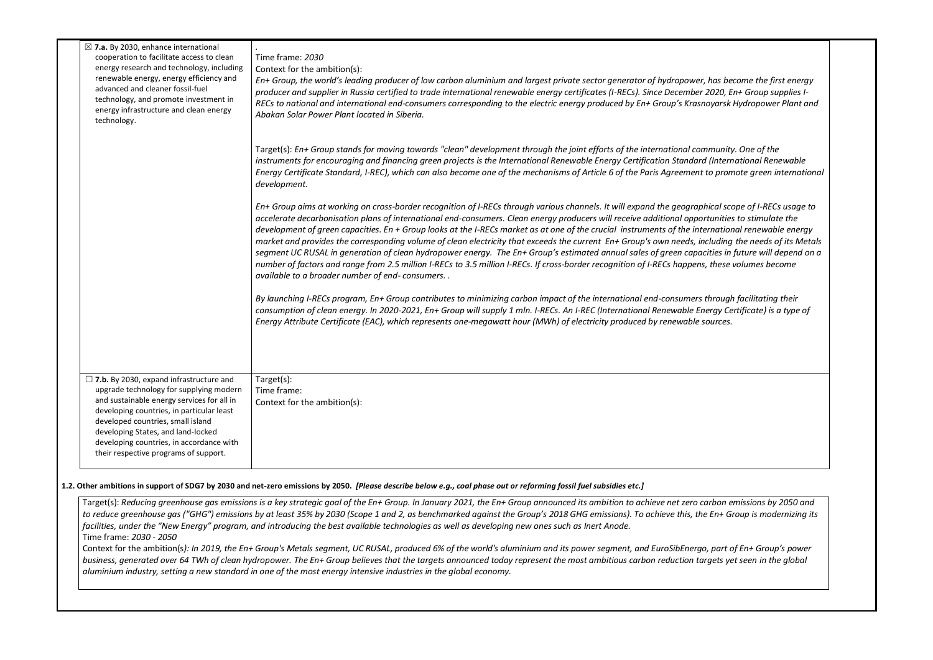| $\boxtimes$ 7.a. By 2030, enhance international<br>cooperation to facilitate access to clean<br>energy research and technology, including<br>renewable energy, energy efficiency and<br>advanced and cleaner fossil-fuel<br>technology, and promote investment in<br>energy infrastructure and clean energy<br>technology.                           | Time frame: 2030<br>Context for the ambition(s):<br>En+ Group, the world's leading producer of low carbon aluminium and largest private sector generator of hydropower, has become the first energy<br>producer and supplier in Russia certified to trade international renewable energy certificates (I-RECs). Since December 2020, En+ Group supplies I-<br>RECs to national and international end-consumers corresponding to the electric energy produced by En+ Group's Krasnoyarsk Hydropower Plant and<br>Abakan Solar Power Plant located in Siberia.                                                                                                                                                                                                                                                                                                                                                                                                                                                                                                                                                                                                                                                                                                                                                                                                                                                 |
|------------------------------------------------------------------------------------------------------------------------------------------------------------------------------------------------------------------------------------------------------------------------------------------------------------------------------------------------------|--------------------------------------------------------------------------------------------------------------------------------------------------------------------------------------------------------------------------------------------------------------------------------------------------------------------------------------------------------------------------------------------------------------------------------------------------------------------------------------------------------------------------------------------------------------------------------------------------------------------------------------------------------------------------------------------------------------------------------------------------------------------------------------------------------------------------------------------------------------------------------------------------------------------------------------------------------------------------------------------------------------------------------------------------------------------------------------------------------------------------------------------------------------------------------------------------------------------------------------------------------------------------------------------------------------------------------------------------------------------------------------------------------------|
|                                                                                                                                                                                                                                                                                                                                                      | Target(s): En+ Group stands for moving towards "clean" development through the joint efforts of the international community. One of the<br>instruments for encouraging and financing green projects is the International Renewable Energy Certification Standard (International Renewable<br>Energy Certificate Standard, I-REC), which can also become one of the mechanisms of Article 6 of the Paris Agreement to promote green international<br>development.                                                                                                                                                                                                                                                                                                                                                                                                                                                                                                                                                                                                                                                                                                                                                                                                                                                                                                                                             |
|                                                                                                                                                                                                                                                                                                                                                      | En+ Group aims at working on cross-border recognition of I-RECs through various channels. It will expand the geographical scope of I-RECs usage to<br>accelerate decarbonisation plans of international end-consumers. Clean energy producers will receive additional opportunities to stimulate the<br>development of green capacities. En + Group looks at the I-RECs market as at one of the crucial instruments of the international renewable energy<br>market and provides the corresponding volume of clean electricity that exceeds the current En+ Group's own needs, including the needs of its Metals<br>segment UC RUSAL in generation of clean hydropower energy. The En+ Group's estimated annual sales of green capacities in future will depend on a<br>number of factors and range from 2.5 million I-RECs to 3.5 million I-RECs. If cross-border recognition of I-RECs happens, these volumes become<br>available to a broader number of end-consumers<br>By launching I-RECs program, En+ Group contributes to minimizing carbon impact of the international end-consumers through facilitating their<br>consumption of clean energy. In 2020-2021, En+ Group will supply 1 mln. I-RECs. An I-REC (International Renewable Energy Certificate) is a type of<br>Energy Attribute Certificate (EAC), which represents one-megawatt hour (MWh) of electricity produced by renewable sources. |
| $\Box$ 7.b. By 2030, expand infrastructure and<br>upgrade technology for supplying modern<br>and sustainable energy services for all in<br>developing countries, in particular least<br>developed countries, small island<br>developing States, and land-locked<br>developing countries, in accordance with<br>their respective programs of support. | Target(s):<br>Time frame:<br>Context for the ambition(s):                                                                                                                                                                                                                                                                                                                                                                                                                                                                                                                                                                                                                                                                                                                                                                                                                                                                                                                                                                                                                                                                                                                                                                                                                                                                                                                                                    |
| Time frame: 2030 - 2050                                                                                                                                                                                                                                                                                                                              | 1.2. Other ambitions in support of SDG7 by 2030 and net-zero emissions by 2050. [Please describe below e.g., coal phase out or reforming fossil fuel subsidies etc.]<br>Target(s): Reducing greenhouse gas emissions is a key strategic goal of the En+ Group. In January 2021, the En+ Group announced its ambition to achieve net zero carbon emissions by 2050 and<br>to reduce greenhouse gas ("GHG") emissions by at least 35% by 2030 (Scope 1 and 2, as benchmarked against the Group's 2018 GHG emissions). To achieve this, the En+ Group is modernizing its<br>facilities, under the "New Energy" program, and introducing the best available technologies as well as developing new ones such as Inert Anode.<br>Context for the ambition(s): In 2019, the En+ Group's Metals segment, UC RUSAL, produced 6% of the world's aluminium and its power segment, and EuroSibEnergo, part of En+ Group's power<br>business, generated over 64 TWh of clean hydropower. The En+ Group believes that the targets announced today represent the most ambitious carbon reduction targets yet seen in the global<br>aluminium industry, setting a new standard in one of the most energy intensive industries in the global economy.                                                                                                                                                                        |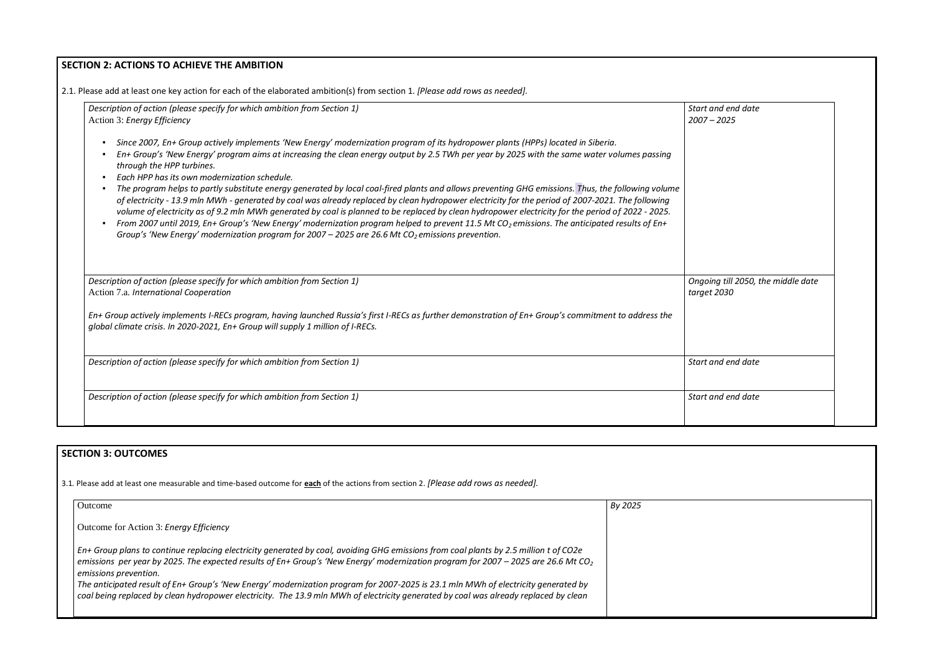# **SECTION 2: ACTIONS TO ACHIEVE THE AMBITION**  2.1. Please add at least one key action for each of the elaborated ambition(s) from section 1. *[Please add rows as needed]. Description of action (please specify for which ambition from Section 1)*  Action 3: *Energy Efficiency* ▪ *Since 2007, En+ Group actively implements 'New Energy' modernization program of its hydropower plants (HPPs) located in Siberia.*  ▪ *En+ Group's 'New Energy' program aims at increasing the clean energy output by 2.5 TWh per year by 2025 with the same water volumes passing through the HPP turbines.*  ▪ *Each HPP has its own modernization schedule.*  ▪ *The program helps to partly substitute energy generated by local coal-fired plants and allows preventing GHG emissions. Thus, the following volume of electricity - 13.9 mln MWh - generated by coal was already replaced by clean hydropower electricity for the period of 2007-2021. The following volume of electricity as of 9.2 mln MWh generated by coal is planned to be replaced by clean hydropower electricity for the period of 2022 - 2025.* ■ *From 2007 until 2019, En+ Group's 'New Energy' modernization program helped to prevent 11.5 Mt CO<sub>2</sub> emissions. The anticipated results of En+ Group's 'New Energy' modernization program for 2007 – 2025 are 26.6 Mt CO2 emissions prevention. Start and end date 2007 – 2025 Description of action (please specify for which ambition from Section 1)* Action 7.a. *International Cooperation En+ Group actively implements I-RECs program, having launched Russia's first I-RECs as further demonstration of En+ Group's commitment to address the global climate crisis. In 2020-2021, En+ Group will supply 1 million of I-RECs. Ongoing till 2050, the middle date*   $t$ *arget Description of action (please specify for which ambition from Section 1)* **Start and data and data and data and data and data and data and data and data and data and data and data and data and data and data and data and d** *Description of action (please specify for which ambition from Section 1)* **Start and data and data and data and data and data and data and data and data and data and data and data and data and data and data and data and d**

# **SECTION 3: OUTCOMES**

3.1*.* Please add at least one measurable and time-based outcome for **each** of the actions from section 2. *[Please add rows as needed].*

| <b>Outcome</b>                                                                                                                                                                                                                                                                                                   | By 2025 |
|------------------------------------------------------------------------------------------------------------------------------------------------------------------------------------------------------------------------------------------------------------------------------------------------------------------|---------|
| Outcome for Action 3: Energy Efficiency                                                                                                                                                                                                                                                                          |         |
| En+ Group plans to continue replacing electricity generated by coal, avoiding GHG emissions from coal plants by 2.5 million t of CO2e<br>emissions per year by 2025. The expected results of En+ Group's 'New Energy' modernization program for 2007 – 2025 are 26.6 Mt CO <sub>2</sub><br>emissions prevention. |         |
| The anticipated result of En+ Group's 'New Energy' modernization program for 2007-2025 is 23.1 mln MWh of electricity generated by<br>coal being replaced by clean hydropower electricity. The 13.9 mln MWh of electricity generated by coal was already replaced by clean                                       |         |

| t and end date<br>$7 - 2025$               |  |
|--------------------------------------------|--|
|                                            |  |
|                                            |  |
|                                            |  |
|                                            |  |
| oing till 2050, the middle date<br>et 2030 |  |
|                                            |  |
| t and end date                             |  |
| t and end date                             |  |
|                                            |  |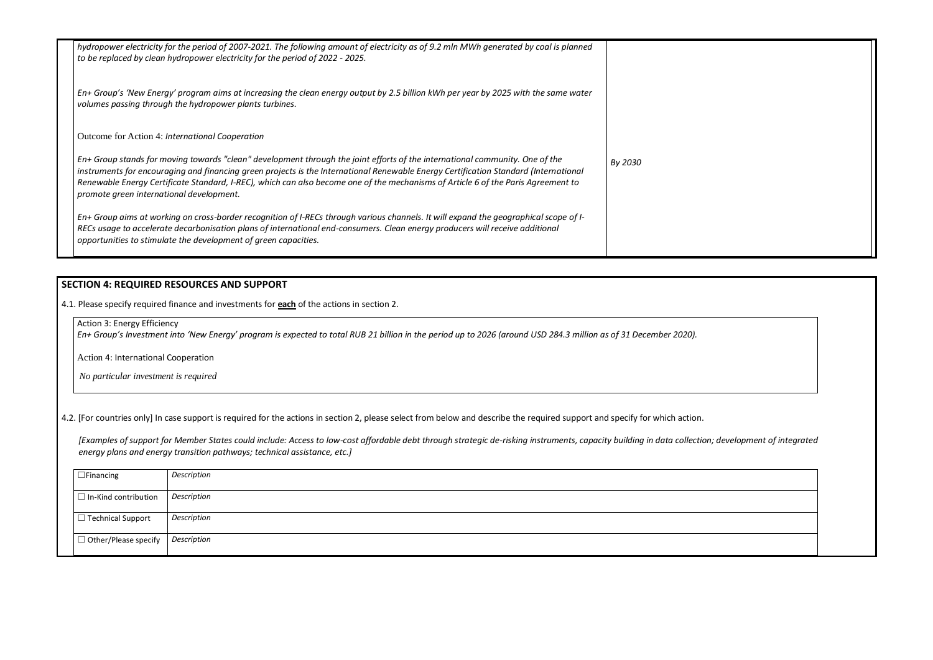| hydropower electricity for the period of 2007-2021. The following amount of electricity as of 9.2 mln MWh generated by coal is planned<br>to be replaced by clean hydropower electricity for the period of 2022 - 2025.                                                                                                                                                                                                                               |         |
|-------------------------------------------------------------------------------------------------------------------------------------------------------------------------------------------------------------------------------------------------------------------------------------------------------------------------------------------------------------------------------------------------------------------------------------------------------|---------|
| En+ Group's 'New Energy' program aims at increasing the clean energy output by 2.5 billion kWh per year by 2025 with the same water<br>volumes passing through the hydropower plants turbines.                                                                                                                                                                                                                                                        |         |
| Outcome for Action 4: International Cooperation                                                                                                                                                                                                                                                                                                                                                                                                       |         |
| En+ Group stands for moving towards "clean" development through the joint efforts of the international community. One of the<br>instruments for encouraging and financing green projects is the International Renewable Energy Certification Standard (International<br>Renewable Energy Certificate Standard, I-REC), which can also become one of the mechanisms of Article 6 of the Paris Agreement to<br>promote green international development. | By 2030 |
| En+ Group aims at working on cross-border recognition of I-RECs through various channels. It will expand the geographical scope of I-<br>RECs usage to accelerate decarbonisation plans of international end-consumers. Clean energy producers will receive additional<br>opportunities to stimulate the development of green capacities.                                                                                                             |         |

# **SECTION 4: REQUIRED RESOURCES AND SUPPORT**

4.1. Please specify required finance and investments for **each** of the actions in section 2.

Action 3: Energy Efficiency

*En+ Group's Investment into 'New Energy' program is expected to total RUB 21 billion in the period up to 2026 (around USD 284.3 million as of 31 December 2020).*

Action 4: International Cooperation

*No particular investment is required*

4.2. [For countries only] In case support is required for the actions in section 2, please select from below and describe the required support and specify for which action.

*[Examples of support for Member States could include: Access to low-cost affordable debt through strategic de-risking instruments, capacity building in data collection; development of integrated energy plans and energy transition pathways; technical assistance, etc.]*

| $\Box$ Financing            | Description        |
|-----------------------------|--------------------|
| $\Box$ In-Kind contribution | Description        |
|                             |                    |
| $\Box$ Technical Support    | Description        |
| $\Box$ Other/Please specify | <b>Description</b> |
|                             |                    |

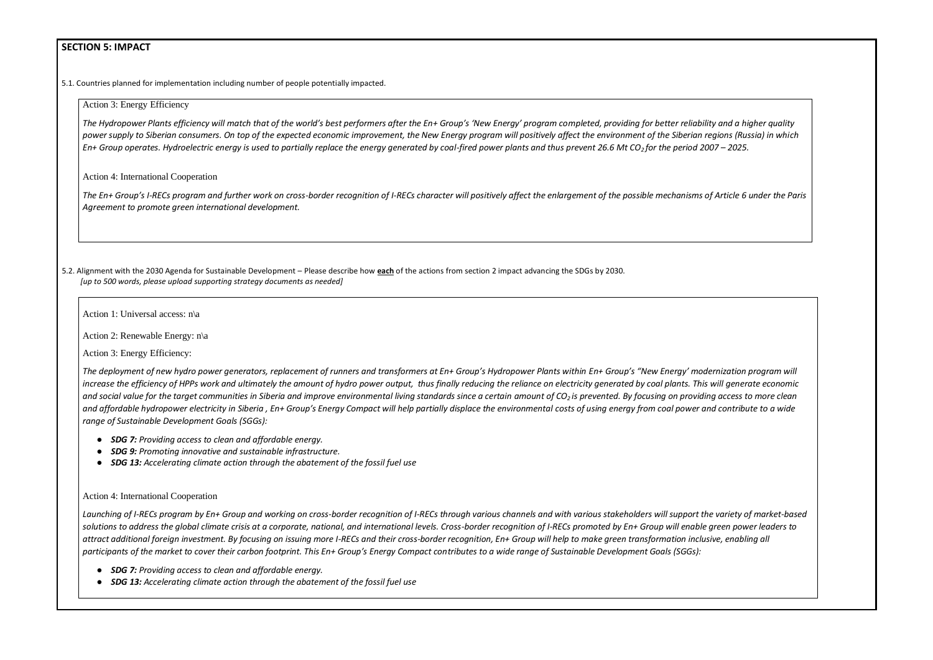# **SECTION 5: IMPACT**

5.1. Countries planned for implementation including number of people potentially impacted.

*The Hydropower Plants efficiency will match that of the world's best performers after the En+ Group's 'New Energy' program completed, providing for better reliability and a higher quality power supply to Siberian consumers. On top of the expected economic improvement, the New Energy program will positively affect the environment of the Siberian regions (Russia) in which En+ Group operates. Hydroelectric energy is used to partially replace the energy generated by coal-fired power plants and thus prevent 26.6 Mt CO<sub>2</sub> for the period 2007 – 2025.* 

#### Action 3: Energy Efficiency

Action 4: International Cooperation

*The En+ Group's I-RECs program and further work on cross-border recognition of I-RECs character will positively affect the enlargement of the possible mechanisms of Article 6 under the Paris Agreement to promote green international development.*

The deployment of new hydro power generators, replacement of runners and transformers at En+ Group's Hydropower Plants within En+ Group's "New Energy' modernization program will *increase the efficiency of HPPs work and ultimately the amount of hydro power output, thus finally reducing the reliance on electricity generated by coal plants. This will generate economic*  and social value for the target communities in Siberia and improve environmental living standards since a certain amount of CO<sub>2</sub> is prevented. By focusing on providing access to more clean and affordable hydropower electricity in Siberia, En+ Group's Energy Compact will help partially displace the environmental costs of using energy from coal power and contribute to a wide *range of Sustainable Development Goals (SGGs):*

5.2. Alignment with the 2030 Agenda for Sustainable Development – Please describe how **each** of the actions from section 2 impact advancing the SDGs by 2030. *[up to 500 words, please upload supporting strategy documents as needed]* 

*Launching of I-RECs program by En+ Group and working on cross-border recognition of I-RECs through various channels and with various stakeholders will support the variety of market-based*  solutions to address the global climate crisis at a corporate, national, and international levels. Cross-border recognition of I-RECs promoted by En+ Group will enable green power leaders to *attract additional foreign investment. By focusing on issuing more I-RECs and their cross-border recognition, En+ Group will help to make green transformation inclusive, enabling all*  participants of the market to cover their carbon footprint. This En+ Group's Energy Compact contributes to a wide range of Sustainable Development Goals (SGGs):

Action 1: Universal access: n\a

Action 2: Renewable Energy: n\a

Action 3: Energy Efficiency:

- *SDG 7: Providing access to clean and affordable energy.*
- *SDG 9: Promoting innovative and sustainable infrastructure.*
- *SDG 13: Accelerating climate action through the abatement of the fossil fuel use*

### Action 4: International Cooperation

- *SDG 7: Providing access to clean and affordable energy.*
- *SDG 13: Accelerating climate action through the abatement of the fossil fuel use*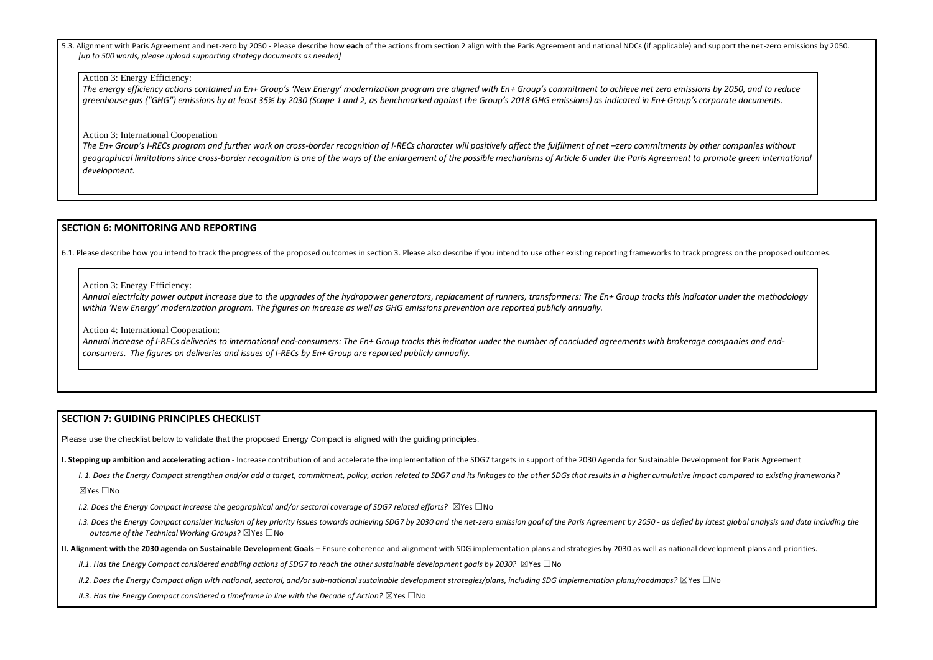5.3. Alignment with Paris Agreement and net-zero by 2050 - Please describe how each of the actions from section 2 align with the Paris Agreement and national NDCs (if applicable) and support the net-zero emissions by 2050. *[up to 500 words, please upload supporting strategy documents as needed]* 

#### Action 3: Energy Efficiency:

*The energy efficiency actions contained in En+ Group's 'New Energy' modernization program are aligned with En+ Group's commitment to achieve net zero emissions by 2050, and to reduce greenhouse gas ("GHG") emissions by at least 35% by 2030 (Scope 1 and 2, as benchmarked against the Group's 2018 GHG emissions) as indicated in En+ Group's corporate documents.*

The En+ Group's I-RECs program and further work on cross-border recognition of I-RECs character will positively affect the fulfilment of net -zero commitments by other companies without *geographical limitations since cross-border recognition is one of the ways of the enlargement of the possible mechanisms of Article 6 under the Paris Agreement to promote green international development.*

Action 3: International Cooperation

## **SECTION 6: MONITORING AND REPORTING**

6.1. Please describe how you intend to track the progress of the proposed outcomes in section 3. Please also describe if you intend to use other existing reporting frameworks to track progress on the proposed outcomes.

### Action 3: Energy Efficiency:

*Annual electricity power output increase due to the upgrades of the hydropower generators, replacement of runners, transformers: The En+ Group tracks this indicator under the methodology within 'New Energy' modernization program. The figures on increase as well as GHG emissions prevention are reported publicly annually.* 

Action 4: International Cooperation:

*Annual increase of I-RECs deliveries to international end-consumers: The En+ Group tracks this indicator under the number of concluded agreements with brokerage companies and endconsumers. The figures on deliveries and issues of I-RECs by En+ Group are reported publicly annually.* 

## **SECTION 7: GUIDING PRINCIPLES CHECKLIST**

Please use the checklist below to validate that the proposed Energy Compact is aligned with the guiding principles.

**I. Stepping up ambition and accelerating action** - Increase contribution of and accelerate the implementation of the SDG7 targets in support of the 2030 Agenda for Sustainable Development for Paris Agreement

I. 1. Does the Energy Compact strengthen and/or add a target, commitment, policy, action related to SDG7 and its linkages to the other SDGs that results in a higher cumulative impact compared to existing frameworks?

☒Yes ☐No

- *I.2. Does the Energy Compact increase the geographical and/or sectoral coverage of SDG7 related efforts?* ☒Yes ☐No
- I.3. Does the Energy Compact consider inclusion of key priority issues towards achieving SDG7 by 2030 and the net-zero emission goal of the Paris Agreement by 2050 as defied by latest global analysis and data including t *outcome of the Technical Working Groups?* ☒Yes ☐No
- **II. Alignment with the 2030 agenda on Sustainable Development Goals** Ensure coherence and alignment with SDG implementation plans and strategies by 2030 as well as national development plans and priorities.
	- *II.1. Has the Energy Compact considered enabling actions of SDG7 to reach the other sustainable development goals by 2030?* ⊠Yes □No
	- *II.2. Does the Energy Compact align with national, sectoral, and/or sub-national sustainable development strategies/plans, including SDG implementation plans/roadmaps?* ☒Yes ☐No

*II.3. Has the Energy Compact considered a timeframe in line with the Decade of Action?* ⊠Yes □No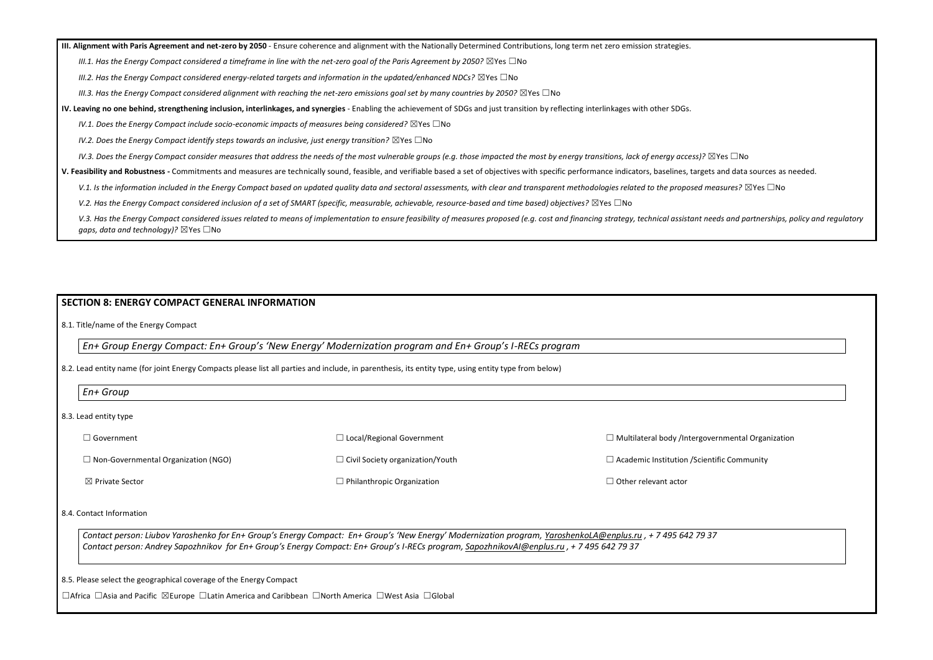**III. Alignment with Paris Agreement and net-zero by 2050** - Ensure coherence and alignment with the Nationally Determined Contributions, long term net zero emission strategies.

*III.1. Has the Energy Compact considered a timeframe in line with the net-zero goal of the Paris Agreement by 2050?* ⊠Yes □No

*III.2. Has the Energy Compact considered energy-related targets and information in the updated/enhanced NDCs?* ⊠Yes □No

*III.3. Has the Energy Compact considered alignment with reaching the net-zero emissions goal set by many countries by 2050?* ⊠Yes □No

**IV. Leaving no one behind, strengthening inclusion, interlinkages, and synergies** - Enabling the achievement of SDGs and just transition by reflecting interlinkages with other SDGs.

*IV.1. Does the Energy Compact include socio-economic impacts of measures being considered?* ⊠Yes □No

*IV.2. Does the Energy Compact identify steps towards an inclusive, just energy transition?* ⊠Yes □No

*IV.3. Does the Energy Compact consider measures that address the needs of the most vulnerable groups (e.g. those impacted the most by energy transitions, lack of energy access)?* ⊠Yes □No

☐ Civil Society organization/Youth  $\Box$  Philanthropic Organization

**V. Feasibility and Robustness -** Commitments and measures are technically sound, feasible, and verifiable based a set of objectives with specific performance indicators, baselines, targets and data sources as needed.

V.1. Is the information included in the Energy Compact based on updated quality data and sectoral assessments, with clear and transparent methodologies related to the proposed measures? ⊠Yes □No

*V.2. Has the Energy Compact considered inclusion of a set of SMART (specific, measurable, achievable, resource-based and time based) objectives?* ⊠Yes □No

V.3. Has the Energy Compact considered issues related to means of implementation to ensure feasibility of measures proposed (e.g. cost and financing strategy, technical assistant needs and partnerships, policy and regulato *gaps, data and technology)?* ⊠Yes □No

*Contact person: Liubov Yaroshenko for En+ Group's Energy Compact: En+ Group's 'New Energy' Modernization program, [YaroshenkoLA@enplus.ru](mailto:YaroshenkoLA@enplus.ru) , + 7 495 642 79 Contact person: Andrey Sapozhnikov for En+ Group's Energy Compact: En+ Group's I-RECs program[, SapozhnikovAI@enplus.ru](mailto:SapozhnikovAI@enplus.ru) , + 7 495 642 79 37* 

## **SECTION 8: ENERGY COMPACT GENERAL INFORMATION**

8.1. Title/name of the Energy Compact

*En+ Group Energy Compact: En+ Group's 'New Energy' Modernization program and En+ Group's I-RECs program*

8.2. Lead entity name (for joint Energy Compacts please list all parties and include, in parenthesis, its entity type, using entity type from below)

8.3. Lead entity type

☐ Government

☐ Non-Governmental Organization (NGO)

☒ Private Sector

☐ Local/Regional Government

 $\Box$  Multilateral body /Intergo

 $\Box$  Academic Institution /Sci

□ Other relevant actor

#### 8.4. Contact Information

8.5. Please select the geographical coverage of the Energy Compact

☐Africa ☐Asia and Pacific ☒Europe ☐Latin America and Caribbean ☐North America ☐West Asia ☐Global

| overnmental Organization |  |
|--------------------------|--|
|                          |  |
| entific Community        |  |
|                          |  |
|                          |  |
|                          |  |
|                          |  |
|                          |  |
|                          |  |
| $\overline{37}$          |  |
|                          |  |
|                          |  |
|                          |  |
|                          |  |
|                          |  |
|                          |  |